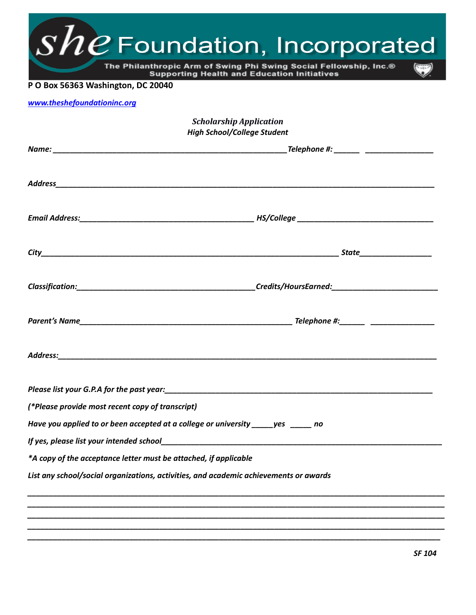| www.theshefoundationinc.org<br><b>Scholarship Application</b><br><b>High School/College Student</b><br>Address:<br>(*Please provide most recent copy of transcript)<br>Have you applied to or been accepted at a college or university _____yes ______ no<br>*A copy of the acceptance letter must be attached, if applicable | The Philanthropic Arm of Swing Phi Swing Social Fellowship, Inc.®<br>P O Box 56363 Washington, DC 20040 | <b>Supporting Health and Education Initiatives</b> |
|-------------------------------------------------------------------------------------------------------------------------------------------------------------------------------------------------------------------------------------------------------------------------------------------------------------------------------|---------------------------------------------------------------------------------------------------------|----------------------------------------------------|
|                                                                                                                                                                                                                                                                                                                               |                                                                                                         |                                                    |
|                                                                                                                                                                                                                                                                                                                               |                                                                                                         |                                                    |
|                                                                                                                                                                                                                                                                                                                               |                                                                                                         |                                                    |
|                                                                                                                                                                                                                                                                                                                               |                                                                                                         |                                                    |
|                                                                                                                                                                                                                                                                                                                               |                                                                                                         |                                                    |
|                                                                                                                                                                                                                                                                                                                               |                                                                                                         |                                                    |
|                                                                                                                                                                                                                                                                                                                               |                                                                                                         |                                                    |
|                                                                                                                                                                                                                                                                                                                               |                                                                                                         |                                                    |
|                                                                                                                                                                                                                                                                                                                               |                                                                                                         |                                                    |
|                                                                                                                                                                                                                                                                                                                               |                                                                                                         |                                                    |
|                                                                                                                                                                                                                                                                                                                               |                                                                                                         |                                                    |
|                                                                                                                                                                                                                                                                                                                               |                                                                                                         |                                                    |
|                                                                                                                                                                                                                                                                                                                               |                                                                                                         |                                                    |
|                                                                                                                                                                                                                                                                                                                               |                                                                                                         |                                                    |
|                                                                                                                                                                                                                                                                                                                               |                                                                                                         |                                                    |
| List any school/social organizations, activities, and academic achievements or awards                                                                                                                                                                                                                                         |                                                                                                         |                                                    |
|                                                                                                                                                                                                                                                                                                                               |                                                                                                         |                                                    |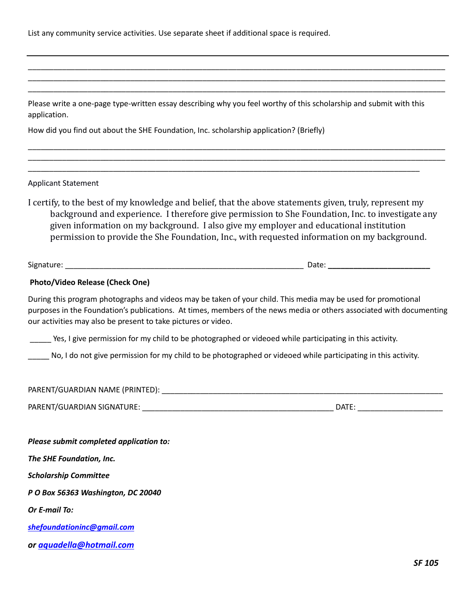List any community service activities. Use separate sheet if additional space is required.

Please write a one-page type-written essay describing why you feel worthy of this scholarship and submit with this application.

\_\_\_\_\_\_\_\_\_\_\_\_\_\_\_\_\_\_\_\_\_\_\_\_\_\_\_\_\_\_\_\_\_\_\_\_\_\_\_\_\_\_\_\_\_\_\_\_\_\_\_\_\_\_\_\_\_\_\_\_\_\_\_\_\_\_\_\_\_\_\_\_\_\_\_\_\_\_\_\_\_\_\_\_\_\_\_\_\_\_\_\_

\_\_\_\_\_\_\_\_\_\_\_\_\_\_\_\_\_\_\_\_\_\_\_\_\_\_\_\_\_\_\_\_\_\_\_\_\_\_\_\_\_\_\_\_\_\_\_\_\_\_\_\_\_\_\_\_\_\_\_\_\_\_\_\_\_\_\_\_\_\_\_\_\_\_\_\_\_\_\_\_\_\_\_\_\_\_\_\_\_\_\_\_\_\_\_\_\_\_ \_\_\_\_\_\_\_\_\_\_\_\_\_\_\_\_\_\_\_\_\_\_\_\_\_\_\_\_\_\_\_\_\_\_\_\_\_\_\_\_\_\_\_\_\_\_\_\_\_\_\_\_\_\_\_\_\_\_\_\_\_\_\_\_\_\_\_\_\_\_\_\_\_\_\_\_\_\_\_\_\_\_\_\_\_\_\_\_\_\_\_\_\_\_\_\_\_\_ \_\_\_\_\_\_\_\_\_\_\_\_\_\_\_\_\_\_\_\_\_\_\_\_\_\_\_\_\_\_\_\_\_\_\_\_\_\_\_\_\_\_\_\_\_\_\_\_\_\_\_\_\_\_\_\_\_\_\_\_\_\_\_\_\_\_\_\_\_\_\_\_\_\_\_\_\_\_\_\_\_\_\_\_\_\_\_\_\_\_\_\_\_\_\_\_\_\_

\_\_\_\_\_\_\_\_\_\_\_\_\_\_\_\_\_\_\_\_\_\_\_\_\_\_\_\_\_\_\_\_\_\_\_\_\_\_\_\_\_\_\_\_\_\_\_\_\_\_\_\_\_\_\_\_\_\_\_\_\_\_\_\_\_\_\_\_\_\_\_\_\_\_\_\_\_\_\_\_\_\_\_\_\_\_\_\_\_\_\_\_\_\_\_\_\_\_ \_\_\_\_\_\_\_\_\_\_\_\_\_\_\_\_\_\_\_\_\_\_\_\_\_\_\_\_\_\_\_\_\_\_\_\_\_\_\_\_\_\_\_\_\_\_\_\_\_\_\_\_\_\_\_\_\_\_\_\_\_\_\_\_\_\_\_\_\_\_\_\_\_\_\_\_\_\_\_\_\_\_\_\_\_\_\_\_\_\_\_\_\_\_\_\_\_\_

How did you find out about the SHE Foundation, Inc. scholarship application? (Briefly)

Applicant Statement

I certify, to the best of my knowledge and belief, that the above statements given, truly, represent my background and experience. I therefore give permission to She Foundation, Inc. to investigate any given information on my background. I also give my employer and educational institution permission to provide the She Foundation, Inc., with requested information on my background.

Signature: \_\_\_\_\_\_\_\_\_\_\_\_\_\_\_\_\_\_\_\_\_\_\_\_\_\_\_\_\_\_\_\_\_\_\_\_\_\_\_\_\_\_\_\_\_\_\_\_\_\_\_\_\_\_\_\_ Date: **\_\_\_\_\_\_\_\_\_\_\_\_\_\_\_\_\_\_\_\_\_\_\_\_**

## **Photo/Video Release (Check One)**

During this program photographs and videos may be taken of your child. This media may be used for promotional purposes in the Foundation's publications. At times, members of the news media or others associated with documenting our activities may also be present to take pictures or video.

\_\_\_\_\_ Yes, I give permission for my child to be photographed or videoed while participating in this activity.

No, I do not give permission for my child to be photographed or videoed while participating in this activity.

PARENT/GUARDIAN NAME (PRINTED): \_\_\_\_\_\_\_\_\_\_\_\_\_\_\_\_\_\_\_\_\_\_\_\_\_\_\_\_\_\_\_\_\_\_\_\_\_\_\_\_\_\_\_\_\_\_\_\_\_\_\_\_\_\_\_\_\_\_\_\_\_\_\_\_\_\_

PARENT/GUARDIAN SIGNATURE: \_\_\_\_\_\_\_\_\_\_\_\_\_\_\_\_\_\_\_\_\_\_\_\_\_\_\_\_\_\_\_\_\_\_\_\_\_\_\_\_\_\_\_\_\_ DATE: \_\_\_\_\_\_\_\_\_\_\_\_\_\_\_\_\_\_\_\_

| Please submit completed application to: |
|-----------------------------------------|
| The SHE Foundation, Inc.                |
| <b>Scholarship Committee</b>            |
| P O Box 56363 Washington, DC 20040      |
| Or E-mail To:                           |
| shefoundationinc@gmail.com              |
| or aquadella@hotmail.com                |